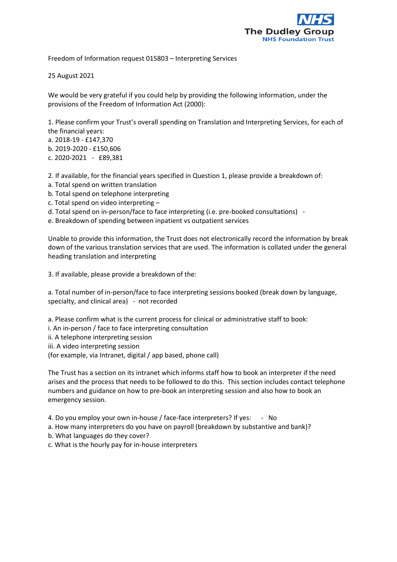

Freedom of Information request 015803 – Interpreting Services

25 August 2021

We would be very grateful if you could help by providing the following information, under the provisions of the Freedom of Information Act (2000):

1. Please confirm your Trust's overall spending on Translation and Interpreting Services, for each of the financial years:

a. 2018-19 - £147,370

b. 2019-2020 - £150,606

c. 2020-2021 - £89,381

2. If available, for the financial years specified in Question 1, please provide a breakdown of:

- a. Total spend on written translation
- b. Total spend on telephone interpreting
- c. Total spend on video interpreting –
- d. Total spend on in-person/face to face interpreting (i.e. pre-booked consultations) -

e. Breakdown of spending between inpatient vs outpatient services

Unable to provide this information, the Trust does not electronically record the information by break down of the various translation services that are used. The information is collated under the general heading translation and interpreting

3. If available, please provide a breakdown of the:

a. Total number of in-person/face to face interpreting sessions booked (break down by language, specialty, and clinical area) - not recorded

- a. Please confirm what is the current process for clinical or administrative staff to book:
- i. An in-person / face to face interpreting consultation
- ii. A telephone interpreting session

iii. A video interpreting session

(for example, via Intranet, digital / app based, phone call)

The Trust has a section on its intranet which informs staff how to book an interpreter if the need arises and the process that needs to be followed to do this. This section includes contact telephone numbers and guidance on how to pre-book an interpreting session and also how to book an emergency session.

- 4. Do you employ your own in-house / face-face interpreters? If yes: No
- a. How many interpreters do you have on payroll (breakdown by substantive and bank)?
- b. What languages do they cover?
- c. What is the hourly pay for in-house interpreters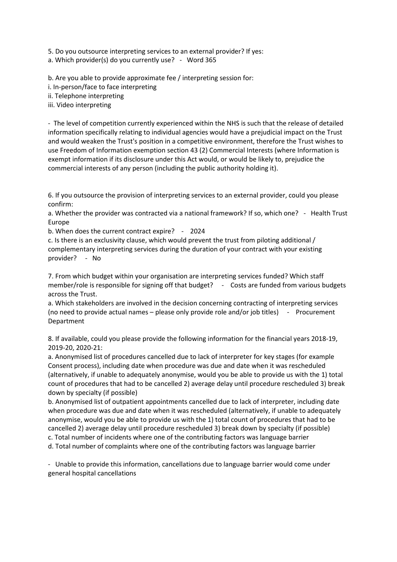5. Do you outsource interpreting services to an external provider? If yes:

a. Which provider(s) do you currently use? - Word 365

b. Are you able to provide approximate fee / interpreting session for:

i. In-person/face to face interpreting

ii. Telephone interpreting

iii. Video interpreting

- The level of competition currently experienced within the NHS is such that the release of detailed information specifically relating to individual agencies would have a prejudicial impact on the Trust and would weaken the Trust's position in a competitive environment, therefore the Trust wishes to use Freedom of Information exemption section 43 (2) Commercial Interests (where Information is exempt information if its disclosure under this Act would, or would be likely to, prejudice the commercial interests of any person (including the public authority holding it).

6. If you outsource the provision of interpreting services to an external provider, could you please confirm:

a. Whether the provider was contracted via a national framework? If so, which one? - Health Trust Europe

b. When does the current contract expire? - 2024

c. Is there is an exclusivity clause, which would prevent the trust from piloting additional / complementary interpreting services during the duration of your contract with your existing provider? - No

7. From which budget within your organisation are interpreting services funded? Which staff member/role is responsible for signing off that budget? - Costs are funded from various budgets across the Trust.

a. Which stakeholders are involved in the decision concerning contracting of interpreting services (no need to provide actual names – please only provide role and/or job titles) - Procurement Department

8. If available, could you please provide the following information for the financial years 2018-19, 2019-20, 2020-21:

a. Anonymised list of procedures cancelled due to lack of interpreter for key stages (for example Consent process), including date when procedure was due and date when it was rescheduled (alternatively, if unable to adequately anonymise, would you be able to provide us with the 1) total count of procedures that had to be cancelled 2) average delay until procedure rescheduled 3) break down by specialty (if possible)

b. Anonymised list of outpatient appointments cancelled due to lack of interpreter, including date when procedure was due and date when it was rescheduled (alternatively, if unable to adequately anonymise, would you be able to provide us with the 1) total count of procedures that had to be cancelled 2) average delay until procedure rescheduled 3) break down by specialty (if possible) c. Total number of incidents where one of the contributing factors was language barrier

d. Total number of complaints where one of the contributing factors was language barrier

- Unable to provide this information, cancellations due to language barrier would come under general hospital cancellations